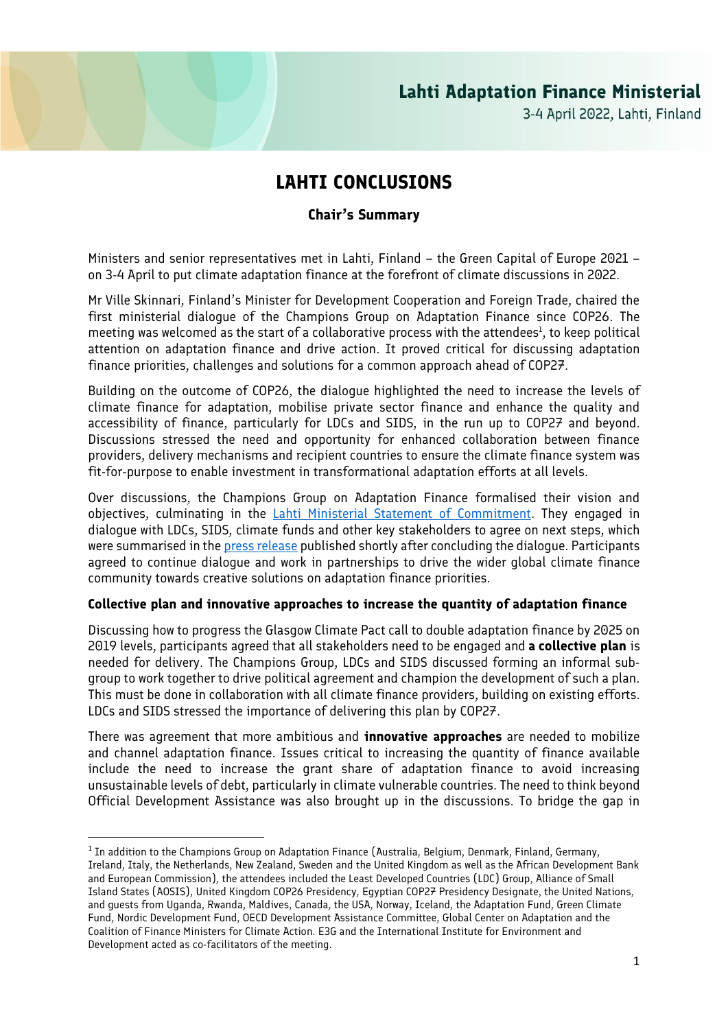1

**Lahti Adaptation Finance Ministerial** 

3-4 April 2022, Lahti, Finland

# **LAHTI CONCLUSIONS**

## **Chair's Summary**

Ministers and senior representatives met in Lahti, Finland – the Green Capital of Europe 2021 – on 3-4 April to put climate adaptation finance at the forefront of climate discussions in 2022.

Mr Ville Skinnari, Finland's Minister for Development Cooperation and Foreign Trade, chaired the first ministerial dialogue of the Champions Group on Adaptation Finance since COP26. The meeting was welcomed as the start of a collaborative process with the attendees<sup>1</sup>, to keep political attention on adaptation finance and drive action. It proved critical for discussing adaptation finance priorities, challenges and solutions for a common approach ahead of COP27.

Building on the outcome of COP26, the dialogue highlighted the need to increase the levels of climate finance for adaptation, mobilise private sector finance and enhance the quality and accessibility of finance, particularly for LDCs and SIDS, in the run up to COP27 and beyond. Discussions stressed the need and opportunity for enhanced collaboration between finance providers, delivery mechanisms and recipient countries to ensure the climate finance system was fit-for-purpose to enable investment in transformational adaptation efforts at all levels.

Over discussions, the Champions Group on Adaptation Finance formalised their vision and objectives, culminating in the [Lahti Ministerial Statement of Commitment.](https://um.fi/news/-/asset_publisher/GRSnUwaHDPv5/content/statement-of-commitment-champions-group-on-adaptation-finance-commit-to-driving-political-ambition-on-adaptation-finance-ahead-of-cop27/35732) They engaged in dialogue with LDCs, SIDS, climate funds and other key stakeholders to agree on next steps, which were summarised in the [press release](https://www.sttinfo.fi/tiedote/press-statement-for-release-at-the-lahti-adaptation-finance-ministerial-4-april-2022?publisherId=1797&releaseId=69937232) published shortly after concluding the dialogue. Participants agreed to continue dialogue and work in partnerships to drive the wider global climate finance community towards creative solutions on adaptation finance priorities.

## **Collective plan and innovative approaches to increase the quantity of adaptation finance**

Discussing how to progress the Glasgow Climate Pact call to double adaptation finance by 2025 on 2019 levels, participants agreed that all stakeholders need to be engaged and **a collective plan** is needed for delivery. The Champions Group, LDCs and SIDS discussed forming an informal subgroup to work together to drive political agreement and champion the development of such a plan. This must be done in collaboration with all climate finance providers, building on existing efforts. LDCs and SIDS stressed the importance of delivering this plan by COP27.

There was agreement that more ambitious and **innovative approaches** are needed to mobilize and channel adaptation finance. Issues critical to increasing the quantity of finance available include the need to increase the grant share of adaptation finance to avoid increasing unsustainable levels of debt, particularly in climate vulnerable countries. The need to think beyond Official Development Assistance was also brought up in the discussions. To bridge the gap in

<sup>&</sup>lt;sup>1</sup> In addition to the Champions Group on Adaptation Finance (Australia, Belgium, Denmark, Finland, Germany, Ireland, Italy, the Netherlands, New Zealand, Sweden and the United Kingdom as well as the African Development Bank and European Commission), the attendees included the Least Developed Countries (LDC) Group, Alliance of Small Island States (AOSIS), United Kingdom COP26 Presidency, Egyptian COP27 Presidency Designate, the United Nations, and guests from Uganda, Rwanda, Maldives, Canada, the USA, Norway, Iceland, the Adaptation Fund, Green Climate Fund, Nordic Development Fund, OECD Development Assistance Committee, Global Center on Adaptation and the Coalition of Finance Ministers for Climate Action. E3G and the International Institute for Environment and Development acted as co-facilitators of the meeting.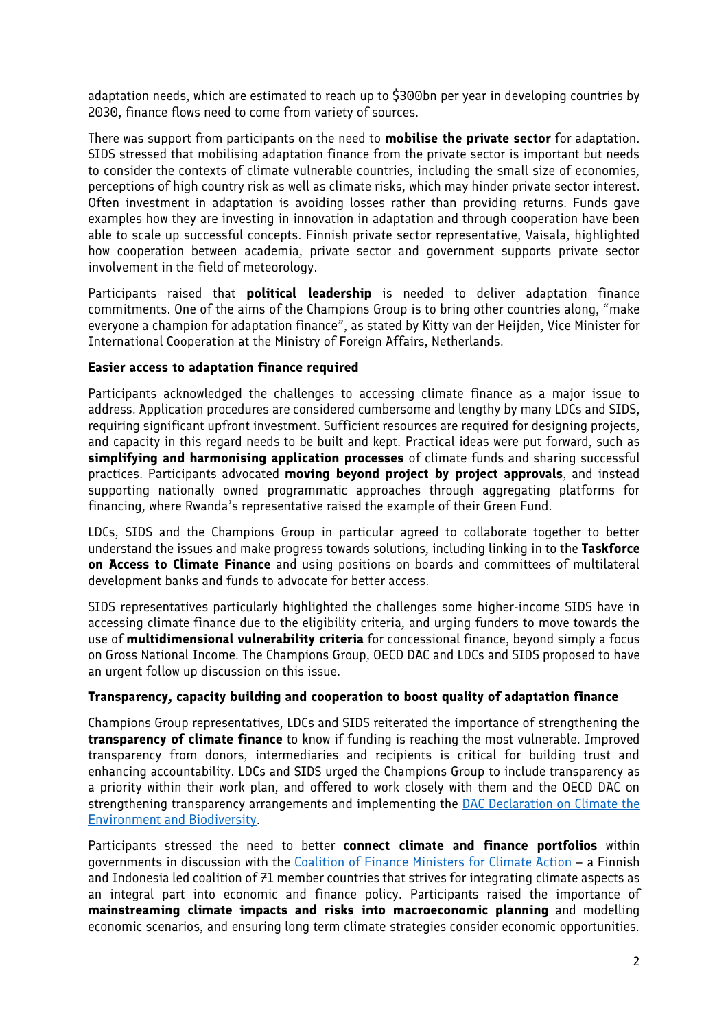adaptation needs, which are estimated to reach up to \$300bn per year in developing countries by 2030, finance flows need to come from variety of sources.

There was support from participants on the need to **mobilise the private sector** for adaptation. SIDS stressed that mobilising adaptation finance from the private sector is important but needs to consider the contexts of climate vulnerable countries, including the small size of economies, perceptions of high country risk as well as climate risks, which may hinder private sector interest. Often investment in adaptation is avoiding losses rather than providing returns. Funds gave examples how they are investing in innovation in adaptation and through cooperation have been able to scale up successful concepts. Finnish private sector representative, Vaisala, highlighted how cooperation between academia, private sector and government supports private sector involvement in the field of meteorology.

Participants raised that **political leadership** is needed to deliver adaptation finance commitments. One of the aims of the Champions Group is to bring other countries along, "make everyone a champion for adaptation finance", as stated by Kitty van der Heijden, Vice Minister for International Cooperation at the Ministry of Foreign Affairs, Netherlands.

#### **Easier access to adaptation finance required**

Participants acknowledged the challenges to accessing climate finance as a major issue to address. Application procedures are considered cumbersome and lengthy by many LDCs and SIDS, requiring significant upfront investment. Sufficient resources are required for designing projects, and capacity in this regard needs to be built and kept. Practical ideas were put forward, such as **simplifying and harmonising application processes** of climate funds and sharing successful practices. Participants advocated **moving beyond project by project approvals**, and instead supporting nationally owned programmatic approaches through aggregating platforms for financing, where Rwanda's representative raised the example of their Green Fund.

LDCs, SIDS and the Champions Group in particular agreed to collaborate together to better understand the issues and make progress towards solutions, including linking in to the **Taskforce on Access to Climate Finance** and using positions on boards and committees of multilateral development banks and funds to advocate for better access.

SIDS representatives particularly highlighted the challenges some higher-income SIDS have in accessing climate finance due to the eligibility criteria, and urging funders to move towards the use of **multidimensional vulnerability criteria** for concessional finance, beyond simply a focus on Gross National Income. The Champions Group, OECD DAC and LDCs and SIDS proposed to have an urgent follow up discussion on this issue.

## **Transparency, capacity building and cooperation to boost quality of adaptation finance**

Champions Group representatives, LDCs and SIDS reiterated the importance of strengthening the **transparency of climate finance** to know if funding is reaching the most vulnerable. Improved transparency from donors, intermediaries and recipients is critical for building trust and enhancing accountability. LDCs and SIDS urged the Champions Group to include transparency as a priority within their work plan, and offered to work closely with them and the OECD DAC on strengthening transparency arrangements and implementing the **DAC Declaration on Climate the** [Environment and Biodiversity.](https://www.oecd.org/dac/development-assistance-committee/dac-declaration-climate-change-cop26.pdf)

Participants stressed the need to better **connect climate and finance portfolios** within governments in discussion with the [Coalition of Finance Ministers for Climate Action](https://www.financeministersforclimate.org/) – a Finnish and Indonesia led coalition of 71 member countries that strives for integrating climate aspects as an integral part into economic and finance policy. Participants raised the importance of **mainstreaming climate impacts and risks into macroeconomic planning** and modelling economic scenarios, and ensuring long term climate strategies consider economic opportunities.